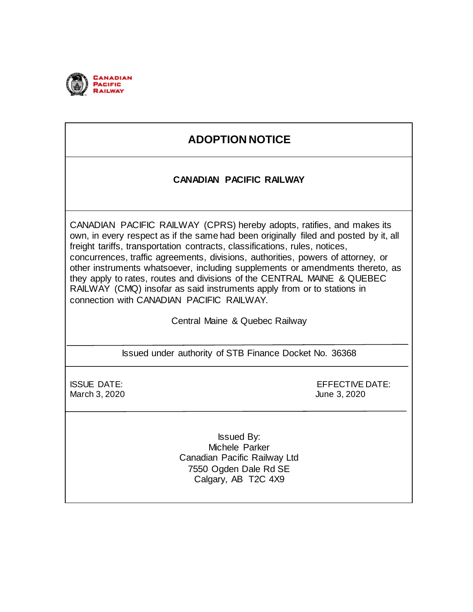

# **ADOPTION NOTICE**

### **CANADIAN PACIFIC RAILWAY**

CANADIAN PACIFIC RAILWAY (CPRS) hereby adopts, ratifies, and makes its own, in every respect as if the same had been originally filed and posted by it, all freight tariffs, transportation contracts, classifications, rules, notices, concurrences, traffic agreements, divisions, authorities, powers of attorney, or other instruments whatsoever, including supplements or amendments thereto, as they apply to rates, routes and divisions of the CENTRAL MAINE & QUEBEC RAILWAY (CMQ) insofar as said instruments apply from or to stations in connection with CANADIAN PACIFIC RAILWAY.

Central Maine & Quebec Railway

Issued under authority of STB Finance Docket No. 36368

March 3, 2020 June 3, 2020

ISSUE DATE: EFFECTIVE DATE:

Issued By: Michele Parker Canadian Pacific Railway Ltd 7550 Ogden Dale Rd SE Calgary, AB T2C 4X9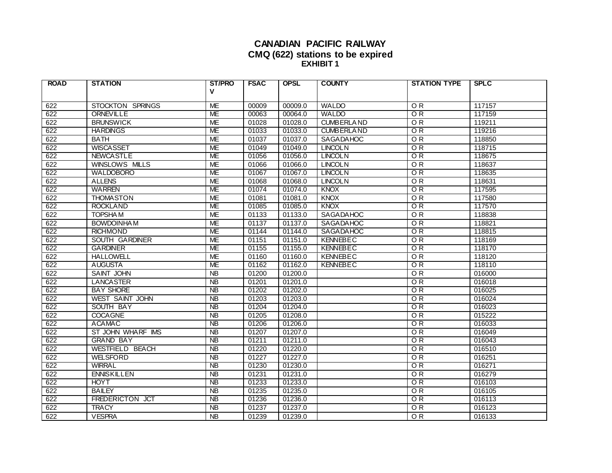#### **CANADIAN PACIFIC RAILWAY CMQ (622) stations to be expired EXHIBIT 1**

| <b>ROAD</b> | <b>STATION</b>         | <b>ST/PRO</b>   | <b>FSAC</b> | <b>OPSL</b> | <b>COUNTY</b>     | <b>STATION TYPE</b> | <b>SPLC</b> |
|-------------|------------------------|-----------------|-------------|-------------|-------------------|---------------------|-------------|
|             |                        | V               |             |             |                   |                     |             |
| 622         | STOCKTON SPRINGS       | <b>ME</b>       | 00009       | 00009.0     | <b>WALDO</b>      | $\overline{OR}$     | 117157      |
| 622         | <b>ORNEVILLE</b>       | <b>ME</b>       | 00063       | 00064.0     | <b>WALDO</b>      | $\overline{OR}$     | 117159      |
| 622         | <b>BRUNSWICK</b>       | <b>ME</b>       | 01028       | 01028.0     | <b>CUMBERLAND</b> | OR                  | 119211      |
| 622         | <b>HARDINGS</b>        | ME              | 01033       | 01033.0     | <b>CUMBERLAND</b> | OR.                 | 119216      |
| 622         | <b>BATH</b>            | <b>ME</b>       | 01037       | 01037.0     | SAGADAHOC         | $\overline{OR}$     | 118850      |
| 622         | <b>WISCASSET</b>       | <b>ME</b>       | 01049       | 01049.0     | <b>LINCOLN</b>    | $\overline{OR}$     | 118715      |
| 622         | <b>NEWCASTLE</b>       | <b>ME</b>       | 01056       | 01056.0     | <b>LINCOLN</b>    | $\overline{OR}$     | 118675      |
| 622         | WINSLOWS MILLS         | <b>ME</b>       | 01066       | 01066.0     | <b>LINCOLN</b>    | OR                  | 118637      |
| 622         | <b>WALDOBORO</b>       | <b>ME</b>       | 01067       | 01067.0     | <b>LINCOLN</b>    | OR                  | 118635      |
| 622         | <b>ALLENS</b>          | <b>ME</b>       | 01068       | 01068.0     | <b>LINCOLN</b>    | $\overline{OR}$     | 118631      |
| 622         | <b>WARREN</b>          | <b>ME</b>       | 01074       | 01074.0     | <b>KNOX</b>       | $\overline{OR}$     | 117595      |
| 622         | <b>THOMASTON</b>       | <b>ME</b>       | 01081       | 01081.0     | <b>KNOX</b>       | OR                  | 117580      |
| 622         | <b>ROCKLAND</b>        | <b>ME</b>       | 01085       | 01085.0     | <b>KNOX</b>       | $\overline{OR}$     | 117570      |
| 622         | <b>TOPSHAM</b>         | <b>ME</b>       | 01133       | 01133.0     | <b>SAGADAHOC</b>  | $\overline{OR}$     | 118838      |
| 622         | <b>BOWDOINHAM</b>      | <b>ME</b>       | 01137       | 01137.0     | <b>SAGADAHOC</b>  | OR                  | 118821      |
| 622         | <b>RICHMOND</b>        | ME              | 01144       | 01144.0     | SAGADAHOC         | OR                  | 118815      |
| 622         | SOUTH GARDINER         | <b>ME</b>       | 01151       | 01151.0     | <b>KENNEBEC</b>   | $\overline{OR}$     | 118169      |
| 622         | <b>GARDINER</b>        | ME              | 01155       | 01155.0     | <b>KENNEBEC</b>   | $\overline{OR}$     | 118170      |
| 622         | <b>HALLOWELL</b>       | <b>ME</b>       | 01160       | 01160.0     | <b>KENNEBEC</b>   | $\overline{OR}$     | 118120      |
| 622         | <b>AUGUSTA</b>         | <b>ME</b>       | 01162       | 01162.0     | <b>KENNEBEC</b>   | $\overline{OR}$     | 118110      |
| 622         | SAINT JOHN             | <b>NB</b>       | 01200       | 01200.0     |                   | OR                  | 016000      |
| 622         | <b>LANCASTER</b>       | <b>NB</b>       | 01201       | 01201.0     |                   | OR                  | 016018      |
| 622         | <b>BAY SHORE</b>       | <b>NB</b>       | 01202       | 01202.0     |                   | OR                  | 016025      |
| 622         | WEST SAINT JOHN        | <b>NB</b>       | 01203       | 01203.0     |                   | OR                  | 016024      |
| 622         | SOUTH BAY              | $\overline{AB}$ | 01204       | 01204.0     |                   | OR                  | 016023      |
| 622         | <b>COCAGNE</b>         | <b>NB</b>       | 01205       | 01208.0     |                   | OR                  | 015222      |
| 622         | <b>ACAMAC</b>          | $\overline{AB}$ | 01206       | 01206.0     |                   | OR                  | 016033      |
| 622         | ST JOHN WHARF IMS      | $\overline{AB}$ | 01207       | 01207.0     |                   | $\overline{OR}$     | 016049      |
| 622         | <b>GRAND BAY</b>       | <b>NB</b>       | 01211       | 01211.0     |                   | O R                 | 016043      |
| 622         | WESTFIELD BEACH        | $\overline{AB}$ | 01220       | 01220.0     |                   | $\overline{OR}$     | 016510      |
| 622         | <b>WELSFORD</b>        | <b>NB</b>       | 01227       | 01227.0     |                   | OR                  | 016251      |
| 622         | <b>WIRRAL</b>          | $\overline{AB}$ | 01230       | 01230.0     |                   | $\overline{OR}$     | 016271      |
| 622         | <b>ENNISKILLEN</b>     | <b>NB</b>       | 01231       | 01231.0     |                   | OR                  | 016279      |
| 622         | <b>HOYT</b>            | $\overline{AB}$ | 01233       | 01233.0     |                   | 0R                  | 016103      |
| 622         | <b>BAILEY</b>          | <b>NB</b>       | 01235       | 01235.0     |                   | O <sub>R</sub>      | 016105      |
| 622         | <b>FREDERICTON JCT</b> | <b>NB</b>       | 01236       | 01236.0     |                   | OR                  | 016113      |
| 622         | <b>TRACY</b>           | <b>NB</b>       | 01237       | 01237.0     |                   | O <sub>R</sub>      | 016123      |
| 622         | <b>VESPRA</b>          | <b>NB</b>       | 01239       | 01239.0     |                   | $\overline{OR}$     | 016133      |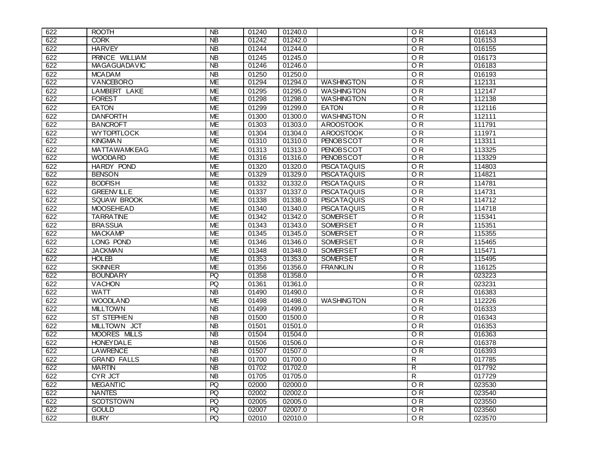| 622 | <b>ROOTH</b>          | <b>NB</b>                         | 01240 | 01240.0 |                    | OR              | 016143 |
|-----|-----------------------|-----------------------------------|-------|---------|--------------------|-----------------|--------|
| 622 | <b>CORK</b>           | <b>NB</b>                         | 01242 | 01242.0 |                    | OR              | 016153 |
| 622 | <b>HARVEY</b>         | $\overline{AB}$                   | 01244 | 01244.0 |                    | $\overline{OR}$ | 016155 |
| 622 | <b>PRINCE WILLIAM</b> | <b>NB</b>                         | 01245 | 01245.0 |                    | $\overline{OR}$ | 016173 |
| 622 | <b>MAGAGUADAVIC</b>   | <b>NB</b>                         | 01246 | 01246.0 |                    | OR              | 016183 |
| 622 | <b>MCADAM</b>         | <b>NB</b>                         | 01250 | 01250.0 |                    | O <sub>R</sub>  | 016193 |
| 622 | VANCEBORO             | <b>ME</b>                         | 01294 | 01294.0 | <b>WASHINGTON</b>  | OR              | 112131 |
| 622 | <b>LAMBERT LAKE</b>   | <b>ME</b>                         | 01295 | 01295.0 | <b>WASHINGTON</b>  | OR              | 112147 |
| 622 | <b>FOREST</b>         | <b>ME</b>                         | 01298 | 01298.0 | <b>WASHINGTON</b>  | $\overline{OR}$ | 112138 |
| 622 | <b>EATON</b>          | <b>ME</b>                         | 01299 | 01299.0 | <b>EATON</b>       | $\overline{OR}$ | 112116 |
| 622 | <b>DANFORTH</b>       | <b>ME</b>                         | 01300 | 01300.0 | <b>WASHINGTON</b>  | O <sub>R</sub>  | 112111 |
| 622 | <b>BANCROFT</b>       | <b>ME</b>                         | 01303 | 01303.0 | <b>AROOSTOOK</b>   | $\overline{OR}$ | 111791 |
| 622 | <b>WYTOPITLOCK</b>    | <b>ME</b>                         | 01304 | 01304.0 | <b>AROOSTOOK</b>   | $\overline{OR}$ | 111971 |
| 622 | <b>KINGMAN</b>        | <b>ME</b>                         | 01310 | 01310.0 | <b>PENOBSCOT</b>   | $\overline{OR}$ | 113311 |
| 622 | <b>MATTAWAMKEAG</b>   | <b>ME</b>                         | 01313 | 01313.0 | <b>PENOBSCOT</b>   | OR              | 113325 |
| 622 | <b>WOODARD</b>        | <b>ME</b>                         | 01316 | 01316.0 | <b>PENOBSCOT</b>   | $\overline{OR}$ | 113329 |
| 622 | <b>HARDY POND</b>     | <b>ME</b>                         | 01320 | 01320.0 | <b>PISCATAQUIS</b> | O <sub>R</sub>  | 114803 |
| 622 | <b>BENSON</b>         | <b>ME</b>                         | 01329 | 01329.0 | <b>PISCATAQUIS</b> | $\overline{OR}$ | 114821 |
| 622 | <b>BODFISH</b>        | <b>ME</b>                         | 01332 | 01332.0 | <b>PISCATAQUIS</b> | O <sub>R</sub>  | 114781 |
| 622 | <b>GREENVILLE</b>     | <b>ME</b>                         | 01337 | 01337.0 | <b>PISCATAQUIS</b> | OR              | 114731 |
| 622 | <b>SQUAW BROOK</b>    | <b>ME</b>                         | 01338 | 01338.0 | <b>PISCATAQUIS</b> | $\overline{OR}$ | 114712 |
| 622 | <b>MOOSEHEAD</b>      | <b>ME</b>                         | 01340 | 01340.0 | <b>PISCATAQUIS</b> | O <sub>R</sub>  | 114718 |
| 622 | <b>TARRATINE</b>      | <b>ME</b>                         | 01342 | 01342.0 | <b>SOMERSET</b>    | $\overline{OR}$ | 115341 |
| 622 | <b>BRASSUA</b>        | <b>ME</b>                         | 01343 | 01343.0 | <b>SOMERSET</b>    | $\overline{OR}$ | 115351 |
| 622 | <b>MACKAMP</b>        | <b>ME</b>                         | 01345 | 01345.0 | <b>SOMERSET</b>    | OR              | 115355 |
| 622 | <b>LONG POND</b>      | <b>ME</b>                         | 01346 | 01346.0 | <b>SOMERSET</b>    | $\overline{OR}$ | 115465 |
| 622 | <b>JACKMAN</b>        | <b>ME</b>                         | 01348 | 01348.0 | <b>SOMERSET</b>    | O <sub>R</sub>  | 115471 |
| 622 | <b>HOLEB</b>          | ME                                | 01353 | 01353.0 | <b>SOMERSET</b>    | OR              | 115495 |
| 622 | <b>SKINNER</b>        | <b>ME</b>                         | 01356 | 01356.0 | <b>FRANKLIN</b>    | $\overline{OR}$ | 116125 |
| 622 | <b>BOUNDARY</b>       | PQ                                | 01358 | 01358.0 |                    | OR              | 023223 |
| 622 | <b>VACHON</b>         | PQ                                | 01361 | 01361.0 |                    | $\overline{OR}$ | 023231 |
| 622 | <b>WATT</b>           | $\overline{AB}$                   | 01490 | 01490.0 |                    | $\overline{OR}$ | 016383 |
| 622 | <b>WOODLAND</b>       | <b>ME</b>                         | 01498 | 01498.0 | <b>WASHINGTON</b>  | O <sub>R</sub>  | 112226 |
| 622 | <b>MILLTOWN</b>       | <b>NB</b>                         | 01499 | 01499.0 |                    | OR              | 016333 |
| 622 | <b>ST STEPHEN</b>     | $\overline{AB}$                   | 01500 | 01500.0 |                    | $\overline{OR}$ | 016343 |
| 622 | MILLTOWN JCT          | <b>NB</b>                         | 01501 | 01501.0 |                    | OR              | 016353 |
| 622 | MOORES MILLS          | $\overline{AB}$                   | 01504 | 01504.0 |                    | OR              | 016363 |
| 622 | <b>HONEY DALE</b>     | <b>NB</b>                         | 01506 | 01506.0 |                    | O <sub>R</sub>  | 016378 |
| 622 | <b>LAWRENCE</b>       | $\overline{\mathsf{N}}\mathsf{B}$ | 01507 | 01507.0 |                    | OR              | 016393 |
| 622 | <b>GRAND FALLS</b>    | $\overline{AB}$                   | 01700 | 01700.0 |                    | $\overline{R}$  | 017785 |
| 622 | <b>MARTIN</b>         | <b>NB</b>                         | 01702 | 01702.0 |                    | R               | 017792 |
| 622 | <b>CYR JCT</b>        | <b>NB</b>                         | 01705 | 01705.0 |                    | $\overline{R}$  | 017729 |
| 622 | <b>MEGANTIC</b>       | PQ                                | 02000 | 02000.0 |                    | $\overline{OR}$ | 023530 |
| 622 | <b>NANTES</b>         | PQ                                | 02002 | 02002.0 |                    | $\overline{OR}$ | 023540 |
| 622 | <b>SCOTSTOWN</b>      | PQ                                | 02005 | 02005.0 |                    | $\overline{OR}$ | 023550 |
| 622 | <b>GOULD</b>          | PQ                                | 02007 | 02007.0 |                    | $\overline{OR}$ | 023560 |
| 622 | <b>BURY</b>           | <b>PQ</b>                         | 02010 | 02010.0 |                    | OR              | 023570 |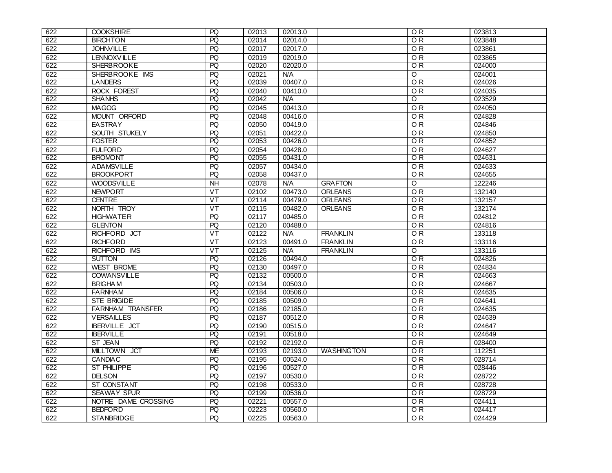| 622 | <b>COOKSHIRE</b>        | PQ              | 02013 | 02013.0    |                   | O <sub>R</sub>              | 023813 |
|-----|-------------------------|-----------------|-------|------------|-------------------|-----------------------------|--------|
| 622 | <b>BIRCHTON</b>         | R               | 02014 | 02014.0    |                   | O R                         | 023848 |
| 622 | <b>JOHNVILLE</b>        | PQ              | 02017 | 02017.0    |                   | O <sub>R</sub>              | 023861 |
| 622 | <b>LENNOXVILLE</b>      | PQ              | 02019 | 02019.0    |                   | O <sub>R</sub>              | 023865 |
| 622 | <b>SHERBROOKE</b>       | $\overline{PQ}$ | 02020 | 02020.0    |                   | OR                          | 024000 |
| 622 | SHERBROOKE IMS          | $\overline{PQ}$ | 02021 | <b>N/A</b> |                   | $\overline{\circ}$          | 024001 |
| 622 | <b>LANDERS</b>          | $\overline{PQ}$ | 02039 | 00407.0    |                   | OR                          | 024026 |
| 622 | <b>ROCK FOREST</b>      | PQ              | 02040 | 00410.0    |                   | $\overline{OR}$             | 024035 |
| 622 | <b>SHANHS</b>           | PQ              | 02042 | <b>N/A</b> |                   | Ō                           | 023529 |
| 622 | <b>MAGOG</b>            | PQ              | 02045 | 00413.0    |                   | OR.                         | 024050 |
| 622 | MOUNT ORFORD            | PQ              | 02048 | 00416.0    |                   | $\overline{OR}$             | 024828 |
| 622 | <b>EASTRAY</b>          | R               | 02050 | 00419.0    |                   | $\overline{\overline{O}}$ R | 024846 |
| 622 | SOUTH STUKELY           | PQ              | 02051 | 00422.0    |                   | $\overline{OR}$             | 024850 |
| 622 | <b>FOSTER</b>           | PQ              | 02053 | 00426.0    |                   | $\overline{OR}$             | 024852 |
| 622 | <b>FULFORD</b>          | PQ              | 02054 | 00428.0    |                   | $\overline{OR}$             | 024627 |
| 622 | <b>BROMONT</b>          | PQ              | 02055 | 00431.0    |                   | $\overline{OR}$             | 024631 |
| 622 | <b>ADAMSVILLE</b>       | PQ              | 02057 | 00434.0    |                   | $\overline{OR}$             | 024633 |
| 622 | <b>BROOKPORT</b>        | $\overline{PQ}$ | 02058 | 00437.0    |                   | O R                         | 024655 |
| 622 | <b>WOODSVILLE</b>       | N <sub>H</sub>  | 02078 | N/A        | <b>GRAFTON</b>    | $\overline{\circ}$          | 122246 |
| 622 | <b>NEWPORT</b>          | VT              | 02102 | 00473.0    | <b>ORLEANS</b>    | OR                          | 132140 |
| 622 | <b>CENTRE</b>           | $V$ T           | 02114 | 00479.0    | <b>ORLEANS</b>    | 0R                          | 132157 |
| 622 | NORTH TROY              | VT              | 02115 | 00482.0    | <b>ORLEANS</b>    | O <sub>R</sub>              | 132174 |
| 622 | <b>HIGHWATER</b>        | $\overline{PQ}$ | 02117 | 00485.0    |                   | O R                         | 024812 |
| 622 | <b>GLENTON</b>          | PQ              | 02120 | 00488.0    |                   | $\overline{OR}$             | 024816 |
| 622 | RICHFORD JCT            | VT              | 02122 | <b>N/A</b> | <b>FRANKLIN</b>   | O <sub>R</sub>              | 133118 |
| 622 | <b>RICHFORD</b>         | VT              | 02123 | 00491.0    | <b>FRANKLIN</b>   | O <sub>R</sub>              | 133116 |
| 622 | RICHFORD IMS            | VT              | 02125 | <b>N/A</b> | <b>FRANKLIN</b>   | O                           | 133116 |
| 622 | <b>SUTTON</b>           | PQ              | 02126 | 00494.0    |                   | O R                         | 024826 |
| 622 | <b>WEST BROME</b>       | PQ              | 02130 | 00497.0    |                   | $\overline{OR}$             | 024834 |
| 622 | <b>COWANSVILLE</b>      | PQ              | 02132 | 00500.0    |                   | $\overline{OR}$             | 024663 |
| 622 | <b>BRIGHAM</b>          | PQ              | 02134 | 00503.0    |                   | O <sub>R</sub>              | 024667 |
| 622 | <b>FARNHAM</b>          | PQ              | 02184 | 00506.0    |                   | OR                          | 024635 |
| 622 | <b>STE BRIGIDE</b>      | PQ              | 02185 | 00509.0    |                   | O <sub>R</sub>              | 024641 |
| 622 | <b>FARNHAM TRANSFER</b> | PQ              | 02186 | 02185.0    |                   | ΟR                          | 024635 |
| 622 | <b>VERSAILLES</b>       | PQ              | 02187 | 00512.0    |                   | $\overline{OR}$             | 024639 |
| 622 | <b>IBERVILLE JCT</b>    | PQ              | 02190 | 00515.0    |                   | OR                          | 024647 |
| 622 | <b>IBERVILLE</b>        | $\overline{R}$  | 02191 | 00518.0    |                   | OR                          | 024649 |
| 622 | ST JEAN                 | PQ              | 02192 | 02192.0    |                   | OR                          | 028400 |
| 622 | MILLTOWN JCT            | <b>ME</b>       | 02193 | 02193.0    | <b>WASHINGTON</b> | O <sub>R</sub>              | 112251 |
| 622 | <b>CANDIAC</b>          | PQ              | 02195 | 00524.0    |                   | $\overline{OR}$             | 028714 |
| 622 | <b>ST PHILIPPE</b>      | PQ              | 02196 | 00527.0    |                   | ОR                          | 028446 |
| 622 | <b>DELSON</b>           | PQ              | 02197 | 00530.0    |                   | OR.                         | 028722 |
| 622 | ST CONSTANT             | PQ              | 02198 | 00533.0    |                   | O <sub>R</sub>              | 028728 |
| 622 | <b>SEAWAY SPUR</b>      | $\overline{PQ}$ | 02199 | 00536.0    |                   | O R                         | 028729 |
| 622 | NOTRE DAME CROSSING     | PQ              | 02221 | 00557.0    |                   | $\overline{OR}$             | 024411 |
| 622 | <b>BEDFORD</b>          | PQ              | 02223 | 00560.0    |                   | O R                         | 024417 |
| 622 | <b>STANBRIDGE</b>       | PQ              | 02225 | 00563.0    |                   | $\overline{OR}$             | 024429 |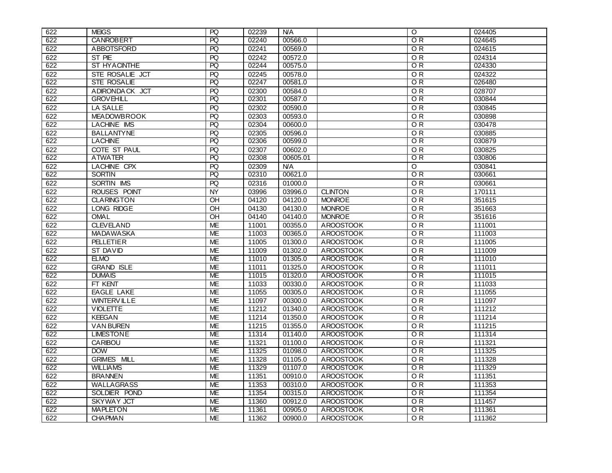| 622 | <b>MEIGS</b>       | PQ              | 02239 | <b>N/A</b> |                  | O               | 024405 |
|-----|--------------------|-----------------|-------|------------|------------------|-----------------|--------|
| 622 | CANROBERT          | PQ              | 02240 | 00566.0    |                  | O R             | 024645 |
| 622 | ABBOTSFORD         | PQ              | 02241 | 00569.0    |                  | OR.             | 024615 |
| 622 | ST PIE             | PQ              | 02242 | 00572.0    |                  | $\overline{OR}$ | 024314 |
| 622 | ST HYACINTHE       | R               | 02244 | 00575.0    |                  | OR              | 024330 |
| 622 | STE ROSALIE JCT    | PQ              | 02245 | 00578.0    |                  | O <sub>R</sub>  | 024322 |
| 622 | <b>STE ROSALIE</b> | PQ              | 02247 | 00581.0    |                  | OR.             | 026480 |
| 622 | ADIRONDACK JCT     | PQ              | 02300 | 00584.0    |                  | $\overline{OR}$ | 028707 |
| 622 | <b>GROVEHILL</b>   | PQ              | 02301 | 00587.0    |                  | O R             | 030844 |
| 622 | LA SALLE           | PQ              | 02302 | 00590.0    |                  | $\overline{OR}$ | 030845 |
| 622 | <b>MEADOWBROOK</b> | PQ              | 02303 | 00593.0    |                  | O <sub>R</sub>  | 030898 |
| 622 | <b>LACHINE IMS</b> | PQ              | 02304 | 00600.0    |                  | $\overline{OR}$ | 030478 |
| 622 | <b>BALLANTYNE</b>  | PQ              | 02305 | 00596.0    |                  | $\overline{OR}$ | 030885 |
| 622 | <b>LACHINE</b>     | $\overline{PQ}$ | 02306 | 00599.0    |                  | O R             | 030879 |
| 622 | COTE ST PAUL       | <b>PQ</b>       | 02307 | 00602.0    |                  | O <sub>R</sub>  | 030825 |
| 622 | <b>ATWATER</b>     | <b>PQ</b>       | 02308 | 00605.01   |                  | 0R              | 030806 |
| 622 | <b>LACHINE CPX</b> | PQ              | 02309 | N/A        |                  | O               | 030841 |
| 622 | <b>SORTIN</b>      | PQ              | 02310 | 00621.0    |                  | $\overline{OR}$ | 030661 |
| 622 | <b>SORTIN IMS</b>  | PQ              | 02316 | 01000.0    |                  | $\overline{OR}$ | 030661 |
| 622 | ROUSES POINT       | <b>NY</b>       | 03996 | 03996.0    | <b>CLINTON</b>   | $\overline{OR}$ | 170111 |
| 622 | <b>CLARINGTON</b>  | OН              | 04120 | 04120.0    | <b>MONROE</b>    | $\overline{OR}$ | 351615 |
| 622 | LONG RIDGE         | <b>OH</b>       | 04130 | 04130.0    | <b>MONROE</b>    | OR.             | 351663 |
| 622 | <b>OMAL</b>        | OН              | 04140 | 04140.0    | <b>MONROE</b>    | O R             | 351616 |
| 622 | <b>CLEVELAND</b>   | <b>ME</b>       | 11001 | 00355.0    | <b>AROOSTOOK</b> | $\overline{OR}$ | 111001 |
| 622 | <b>MADAWASKA</b>   | <b>ME</b>       | 11003 | 00365.0    | <b>AROOSTOOK</b> | OR              | 111003 |
| 622 | <b>PELLETIER</b>   | <b>ME</b>       | 11005 | 01300.0    | <b>AROOSTOOK</b> | OR              | 111005 |
| 622 | <b>ST DAVID</b>    | <b>ME</b>       | 11009 | 01302.0    | <b>AROOSTOOK</b> | O <sub>R</sub>  | 111009 |
| 622 | <b>ELMO</b>        | ME              | 11010 | 01305.0    | <b>AROOSTOOK</b> | O R             | 111010 |
| 622 | <b>GRAND ISLE</b>  | <b>ME</b>       | 11011 | 01325.0    | <b>AROOSTOOK</b> | O <sub>R</sub>  | 111011 |
| 622 | <b>DUMAIS</b>      | <b>ME</b>       | 11015 | 01320.0    | <b>AROOSTOOK</b> | $\overline{OR}$ | 111015 |
| 622 | FT KENT            | <b>ME</b>       | 11033 | 00330.0    | <b>AROOSTOOK</b> | $\overline{OR}$ | 111033 |
| 622 | <b>EAGLE LAKE</b>  | <b>ME</b>       | 11055 | 00305.0    | <b>AROOSTOOK</b> | $\overline{OR}$ | 111055 |
| 622 | <b>WINTERVILLE</b> | <b>ME</b>       | 11097 | 00300.0    | <b>AROOSTOOK</b> | O <sub>R</sub>  | 111097 |
| 622 | <b>VIOLETTE</b>    | ME              | 11212 | 01340.0    | <b>AROOSTOOK</b> | O R             | 111212 |
| 622 | <b>KEEGAN</b>      | <b>ME</b>       | 11214 | 01350.0    | <b>AROOSTOOK</b> | $\overline{OR}$ | 111214 |
| 622 | <b>VAN BUREN</b>   | <b>ME</b>       | 11215 | 01355.0    | <b>AROOSTOOK</b> | OR              | 111215 |
| 622 | <b>LIMESTONE</b>   | ME              | 11314 | 01140.0    | <b>AROOSTOOK</b> | OR              | 111314 |
| 622 | <b>CARIBOU</b>     | <b>ME</b>       | 11321 | 01100.0    | <b>AROOSTOOK</b> | O <sub>R</sub>  | 111321 |
| 622 | <b>DOW</b>         | <b>ME</b>       | 11325 | 01098.0    | <b>AROOSTOOK</b> | $\overline{OR}$ | 111325 |
| 622 | <b>GRIMES MILL</b> | <b>ME</b>       | 11328 | 01105.0    | <b>AROOSTOOK</b> | $\overline{OR}$ | 111328 |
| 622 | <b>WILLIAMS</b>    | <b>ME</b>       | 11329 | 01107.0    | <b>AROOSTOOK</b> | O R             | 111329 |
| 622 | <b>BRANNEN</b>     | <b>ME</b>       | 11351 | 00910.0    | <b>AROOSTOOK</b> | $\overline{OR}$ | 111351 |
| 622 | <b>WALLAGRASS</b>  | <b>ME</b>       | 11353 | 00310.0    | <b>AROOSTOOK</b> | O <sub>R</sub>  | 111353 |
| 622 | SOLDIER POND       | <b>ME</b>       | 11354 | 00315.0    | <b>AROOSTOOK</b> | O R             | 111354 |
| 622 | <b>SKYWAY JCT</b>  | <b>ME</b>       | 11360 | 00912.0    | <b>AROOSTOOK</b> | $\overline{OR}$ | 111457 |
| 622 | <b>MAPLETON</b>    | <b>ME</b>       | 11361 | 00905.0    | <b>AROOSTOOK</b> | O R             | 111361 |
| 622 | <b>CHAPMAN</b>     | <b>ME</b>       | 11362 | 00900.0    | <b>AROOSTOOK</b> | $\overline{OR}$ | 111362 |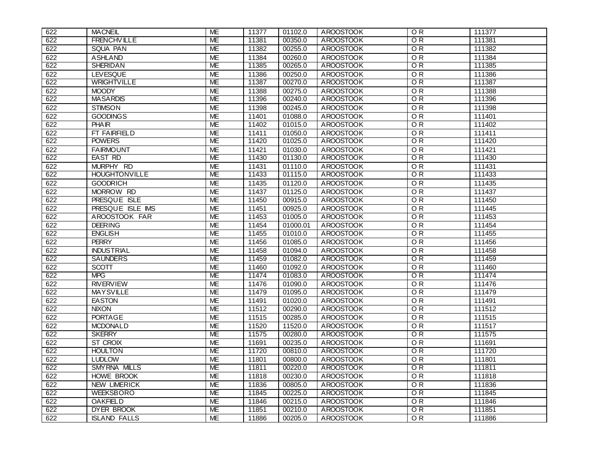| 622 | <b>MACNEIL</b>       | ME        | 11377 | 01102.0  | <b>AROOSTOOK</b> | O <sub>R</sub>  | 111377 |
|-----|----------------------|-----------|-------|----------|------------------|-----------------|--------|
| 622 | <b>FRENCHVILLE</b>   | <b>ME</b> | 11381 | 00350.0  | <b>AROOSTOOK</b> | O R             | 111381 |
| 622 | SQUA PAN             | <b>ME</b> | 11382 | 00255.0  | <b>AROOSTOOK</b> | $\overline{OR}$ | 111382 |
| 622 | <b>ASHLAND</b>       | <b>ME</b> | 11384 | 00260.0  | <b>AROOSTOOK</b> | OR              | 111384 |
| 622 | <b>SHERIDAN</b>      | <b>ME</b> | 11385 | 00265.0  | <b>AROOSTOOK</b> | OR              | 111385 |
| 622 | <b>LEVESQUE</b>      | <b>ME</b> | 11386 | 00250.0  | <b>AROOSTOOK</b> | $\overline{OR}$ | 111386 |
| 622 | <b>WRIGHTVILLE</b>   | ME        | 11387 | 00270.0  | <b>AROOSTOOK</b> | OR.             | 111387 |
| 622 | <b>MOODY</b>         | <b>ME</b> | 11388 | 00275.0  | <b>AROOSTOOK</b> | $\overline{OR}$ | 111388 |
| 622 | <b>MASARDIS</b>      | <b>ME</b> | 11396 | 00240.0  | <b>AROOSTOOK</b> | O R             | 111396 |
| 622 | <b>STIMSON</b>       | <b>ME</b> | 11398 | 00245.0  | <b>AROOSTOOK</b> | $\overline{OR}$ | 111398 |
| 622 | <b>GOODINGS</b>      | <b>ME</b> | 11401 | 01088.0  | <b>AROOSTOOK</b> | $\overline{OR}$ | 111401 |
| 622 | <b>PHAIR</b>         | <b>ME</b> | 11402 | 01015.0  | <b>AROOSTOOK</b> | $\overline{OR}$ | 111402 |
| 622 | FT FAIRFIELD         | <b>ME</b> | 11411 | 01050.0  | <b>AROOSTOOK</b> | OR              | 111411 |
| 622 | <b>POWERS</b>        | <b>ME</b> | 11420 | 01025.0  | <b>AROOSTOOK</b> | O R             | 111420 |
| 622 | <b>FAIRMOUNT</b>     | <b>ME</b> | 11421 | 01030.0  | <b>AROOSTOOK</b> | $\overline{OR}$ | 111421 |
| 622 | <b>EAST RD</b>       | <b>ME</b> | 11430 | 01130.0  | <b>AROOSTOOK</b> | $\overline{OR}$ | 111430 |
| 622 | MURPHY RD            | <b>ME</b> | 11431 | 01110.0  | <b>AROOSTOOK</b> | O <sub>R</sub>  | 111431 |
| 622 | <b>HOUGHTONVILLE</b> | <b>ME</b> | 11433 | 01115.0  | <b>AROOSTOOK</b> | $\overline{OR}$ | 111433 |
| 622 | <b>GOODRICH</b>      | <b>ME</b> | 11435 | 01120.0  | <b>AROOSTOOK</b> | O R             | 111435 |
| 622 | MORROW RD            | <b>ME</b> | 11437 | 01125.0  | <b>AROOSTOOK</b> | $\overline{OR}$ | 111437 |
| 622 | PRESQUE ISLE         | <b>ME</b> | 11450 | 00915.0  | <b>AROOSTOOK</b> | $\overline{OR}$ | 111450 |
| 622 | PRESQUE ISLE IMS     | <b>ME</b> | 11451 | 00925.0  | <b>AROOSTOOK</b> | O <sub>R</sub>  | 111445 |
| 622 | AROOSTOOK FAR        | <b>ME</b> | 11453 | 01005.0  | <b>AROOSTOOK</b> | $\overline{OR}$ | 111453 |
| 622 | <b>DEERING</b>       | <b>ME</b> | 11454 | 01000.01 | <b>AROOSTOOK</b> | $\overline{OR}$ | 111454 |
| 622 | <b>ENGLISH</b>       | <b>ME</b> | 11455 | 01010.0  | <b>AROOSTOOK</b> | $\overline{OR}$ | 111455 |
| 622 | <b>PERRY</b>         | <b>ME</b> | 11456 | 01085.0  | <b>AROOSTOOK</b> | $\overline{OR}$ | 111456 |
| 622 | <b>INDUSTRIAL</b>    | <b>ME</b> | 11458 | 01094.0  | <b>AROOSTOOK</b> | $\overline{OR}$ | 111458 |
| 622 | <b>SAUNDERS</b>      | ME        | 11459 | 01082.0  | <b>AROOSTOOK</b> | O R             | 111459 |
| 622 | SCOTT                | <b>ME</b> | 11460 | 01092.0  | <b>AROOSTOOK</b> | $\overline{OR}$ | 111460 |
| 622 | <b>MPG</b>           | <b>ME</b> | 11474 | 01083.0  | <b>AROOSTOOK</b> | OR              | 111474 |
| 622 | <b>RIVERVIEW</b>     | <b>ME</b> | 11476 | 01090.0  | <b>AROOSTOOK</b> | OR              | 111476 |
| 622 | <b>MAYSVILLE</b>     | <b>ME</b> | 11479 | 01095.0  | <b>AROOSTOOK</b> | $\overline{OR}$ | 111479 |
| 622 | <b>EASTON</b>        | <b>ME</b> | 11491 | 01020.0  | <b>AROOSTOOK</b> | $\overline{OR}$ | 111491 |
| 622 | <b>NIXON</b>         | МE        | 11512 | 00290.0  | <b>AROOSTOOK</b> | O R             | 111512 |
| 622 | <b>PORTAGE</b>       | <b>ME</b> | 11515 | 00285.0  | <b>AROOSTOOK</b> | $\overline{OR}$ | 111515 |
| 622 | <b>MCDONALD</b>      | <b>ME</b> | 11520 | 11520.0  | <b>AROOSTOOK</b> | $\overline{OR}$ | 111517 |
| 622 | <b>SKERRY</b>        | <b>ME</b> | 11575 | 00280.0  | <b>AROOSTOOK</b> | $\overline{O}R$ | 111575 |
| 622 | ST CROIX             | <b>ME</b> | 11691 | 00235.0  | <b>AROOSTOOK</b> | O <sub>R</sub>  | 111691 |
| 622 | <b>HOULTON</b>       | ME        | 11720 | 00810.0  | <b>AROOSTOOK</b> | O <sub>R</sub>  | 111720 |
| 622 | <b>LUDLOW</b>        | <b>ME</b> | 11801 | 00800.0  | <b>AROOSTOOK</b> | $\overline{OR}$ | 111801 |
| 622 | SMYRNA MILLS         | <b>ME</b> | 11811 | 00220.0  | <b>AROOSTOOK</b> | O R             | 111811 |
| 622 | <b>HOWE BROOK</b>    | <b>ME</b> | 11818 | 00230.0  | <b>AROOSTOOK</b> | $\overline{OR}$ | 111818 |
| 622 | <b>NEW LIMERICK</b>  | <b>ME</b> | 11836 | 00805.0  | <b>AROOSTOOK</b> | O <sub>R</sub>  | 111836 |
| 622 | <b>WEEKSBORO</b>     | <b>ME</b> | 11845 | 00225.0  | <b>AROOSTOOK</b> | $\overline{OR}$ | 111845 |
| 622 | <b>OAKFIELD</b>      | <b>ME</b> | 11846 | 00215.0  | <b>AROOSTOOK</b> | $\overline{OR}$ | 111846 |
| 622 | DYER BROOK           | <b>ME</b> | 11851 | 00210.0  | <b>AROOSTOOK</b> | $\overline{OR}$ | 111851 |
| 622 | <b>ISLAND FALLS</b>  | <b>ME</b> | 11886 | 00205.0  | <b>AROOSTOOK</b> | $\overline{OR}$ | 111886 |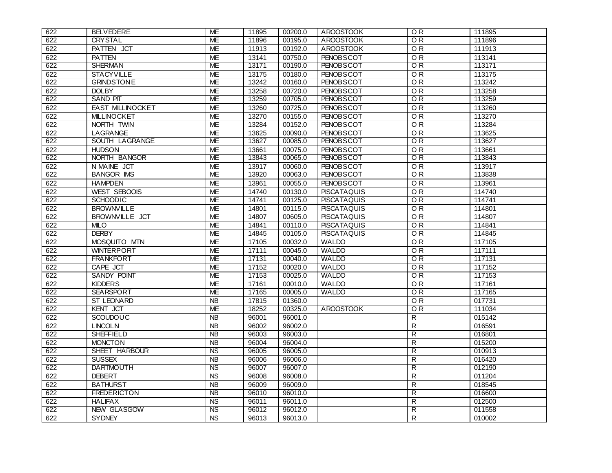| 622 | <b>BELVEDERE</b>        | <b>ME</b>       | 11895 | 00200.0 | <b>AROOSTOOK</b>   | O <sub>R</sub>  | 111895 |
|-----|-------------------------|-----------------|-------|---------|--------------------|-----------------|--------|
| 622 | <b>CRYSTAL</b>          | <b>ME</b>       | 11896 | 00195.0 | <b>AROOSTOOK</b>   | O R             | 111896 |
| 622 | PATTEN JCT              | <b>ME</b>       | 11913 | 00192.0 | <b>AROOSTOOK</b>   | O <sub>R</sub>  | 111913 |
| 622 | <b>PATTEN</b>           | <b>ME</b>       | 13141 | 00750.0 | <b>PENOBSCOT</b>   | O <sub>R</sub>  | 113141 |
| 622 | <b>SHERMAN</b>          | <b>ME</b>       | 13171 | 00190.0 | <b>PENOBSCOT</b>   | OR              | 113171 |
| 622 | <b>STACYVILLE</b>       | <b>ME</b>       | 13175 | 00180.0 | <b>PENOBSCOT</b>   | OR              | 113175 |
| 622 | <b>GRINDSTONE</b>       | <b>ME</b>       | 13242 | 00160.0 | <b>PENOBSCOT</b>   | OR              | 113242 |
| 622 | <b>DOLBY</b>            | <b>ME</b>       | 13258 | 00720.0 | <b>PENOBSCOT</b>   | $\overline{OR}$ | 113258 |
| 622 | <b>SAND PIT</b>         | <b>ME</b>       | 13259 | 00705.0 | <b>PENOBSCOT</b>   | OR              | 113259 |
| 622 | <b>EAST MILLINOCKET</b> | ME              | 13260 | 00725.0 | <b>PENOBSCOT</b>   | OR              | 113260 |
| 622 | <b>MILLINOCKET</b>      | <b>ME</b>       | 13270 | 00155.0 | <b>PENOBSCOT</b>   | $\overline{OR}$ | 113270 |
| 622 | NORTH TWIN              | <b>ME</b>       | 13284 | 00152.0 | <b>PENOBSCOT</b>   | $\overline{OR}$ | 113284 |
| 622 | <b>LAGRANGE</b>         | <b>ME</b>       | 13625 | 00090.0 | <b>PENOBSCOT</b>   | $\overline{OR}$ | 113625 |
| 622 | SOUTH LAGRANGE          | <b>ME</b>       | 13627 | 00085.0 | <b>PENOBSCOT</b>   | $\overline{OR}$ | 113627 |
| 622 | <b>HUDSON</b>           | <b>ME</b>       | 13661 | 00075.0 | <b>PENOBSCOT</b>   | OR              | 113661 |
| 622 | NORTH BANGOR            | <b>ME</b>       | 13843 | 00065.0 | <b>PENOBSCOT</b>   | $\overline{OR}$ | 113843 |
| 622 | N MAINE JCT             | <b>ME</b>       | 13917 | 00060.0 | <b>PENOBSCOT</b>   | O <sub>R</sub>  | 113917 |
| 622 | <b>BANGOR IMS</b>       | <b>ME</b>       | 13920 | 00063.0 | <b>PENOBSCOT</b>   | $\overline{OR}$ | 113838 |
| 622 | <b>HAMPDEN</b>          | <b>ME</b>       | 13961 | 00055.0 | <b>PENOBSCOT</b>   | $\overline{OR}$ | 113961 |
| 622 | <b>WEST SEBOOIS</b>     | <b>ME</b>       | 14740 | 00130.0 | <b>PISCATAQUIS</b> | $\overline{OR}$ | 114740 |
| 622 | <b>SCHOODIC</b>         | <b>ME</b>       | 14741 | 00125.0 | <b>PISCATAQUIS</b> | $\overline{OR}$ | 114741 |
| 622 | <b>BROWNVILLE</b>       | <b>ME</b>       | 14801 | 00115.0 | <b>PISCATAQUIS</b> | O <sub>R</sub>  | 114801 |
| 622 | BROWNVILLE JCT          | <b>ME</b>       | 14807 | 00605.0 | <b>PISCATAQUIS</b> | $\overline{OR}$ | 114807 |
| 622 | <b>MILO</b>             | <b>ME</b>       | 14841 | 00110.0 | <b>PISCATAQUIS</b> | $\overline{OR}$ | 114841 |
| 622 | <b>DERBY</b>            | <b>ME</b>       | 14845 | 00105.0 | <b>PISCATAQUIS</b> | OR              | 114845 |
| 622 | MOSQUITO MTN            | <b>ME</b>       | 17105 | 00032.0 | <b>WALDO</b>       | $\overline{OR}$ | 117105 |
| 622 | <b>WINTERPORT</b>       | <b>ME</b>       | 17111 | 00045.0 | <b>WALDO</b>       | O <sub>R</sub>  | 117111 |
| 622 | <b>FRANKFORT</b>        | ME              | 17131 | 00040.0 | <b>WALDO</b>       | OR              | 117131 |
| 622 | CAPE JCT                | <b>ME</b>       | 17152 | 00020.0 | <b>WALDO</b>       | $\overline{OR}$ | 117152 |
| 622 | SANDY POINT             | <b>ME</b>       | 17153 | 00025.0 | <b>WALDO</b>       | OR              | 117153 |
| 622 | <b>KIDDERS</b>          | <b>ME</b>       | 17161 | 00010.0 | <b>WALDO</b>       | $\overline{OR}$ | 117161 |
| 622 | <b>SEARSPORT</b>        | <b>ME</b>       | 17165 | 00005.0 | <b>WALDO</b>       | OR              | 117165 |
| 622 | <b>ST LEONARD</b>       | <b>NB</b>       | 17815 | 01360.0 |                    | OR              | 017731 |
| 622 | <b>KENT JCT</b>         | ME              | 18252 | 00325.0 | <b>AROOSTOOK</b>   | OR              | 111034 |
| 622 | SCOUDOUC                | $\overline{AB}$ | 96001 | 96001.0 |                    | $\overline{R}$  | 015142 |
| 622 | <b>LINCOLN</b>          | <b>NB</b>       | 96002 | 96002.0 |                    | $\mathsf{R}$    | 016591 |
| 622 | <b>SHEFFIELD</b>        | $\overline{AB}$ | 96003 | 96003.0 |                    | $\overline{R}$  | 016801 |
| 622 | <b>MONCTON</b>          | $\overline{AB}$ | 96004 | 96004.0 |                    | $\overline{R}$  | 015200 |
| 622 | SHEET HARBOUR           | <b>NS</b>       | 96005 | 96005.0 |                    | $\overline{R}$  | 010913 |
| 622 | <b>SUSSEX</b>           | $\overline{AB}$ | 96006 | 96006.0 |                    | $\mathsf{R}$    | 016420 |
| 622 | <b>DARTMOUTH</b>        | <b>NS</b>       | 96007 | 96007.0 |                    | $\overline{R}$  | 012190 |
| 622 | <b>DEBERT</b>           | <b>NS</b>       | 96008 | 96008.0 |                    | $\overline{R}$  | 011204 |
| 622 | <b>BATHURST</b>         | <b>NB</b>       | 96009 | 96009.0 |                    | $\mathsf{R}$    | 018545 |
| 622 | <b>FREDERICTON</b>      | $\overline{AB}$ | 96010 | 96010.0 |                    | $\overline{R}$  | 016600 |
| 622 | <b>HALIFAX</b>          | N <sub>S</sub>  | 96011 | 96011.0 |                    | $\mathsf{R}$    | 012500 |
| 622 | <b>NEW GLASGOW</b>      | <b>NS</b>       | 96012 | 96012.0 |                    | $\overline{R}$  | 011558 |
| 622 | <b>SYDNEY</b>           | N <sub>S</sub>  | 96013 | 96013.0 |                    | $\overline{R}$  | 010002 |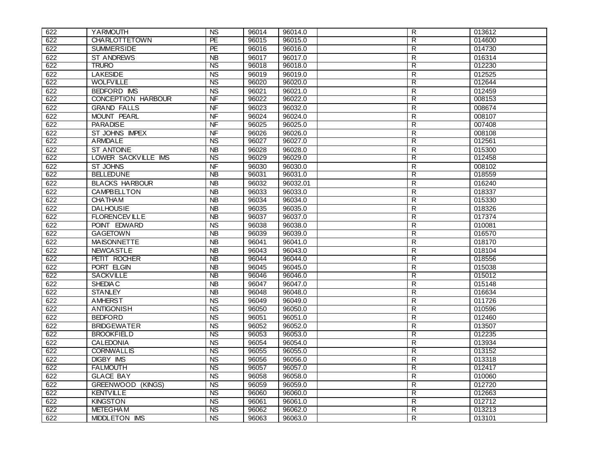| 622 | YARMOUTH                  | <b>NS</b>                | 96014 | 96014.0  | R              | 013612 |
|-----|---------------------------|--------------------------|-------|----------|----------------|--------|
| 622 | <b>CHARLOTTETOWN</b>      | PE                       | 96015 | 96015.0  | R              | 014600 |
| 622 | <b>SUMMERSIDE</b>         | PE                       | 96016 | 96016.0  | $\mathsf{R}$   | 014730 |
| 622 | <b>ST ANDREWS</b>         | <b>NB</b>                | 96017 | 96017.0  | R              | 016314 |
| 622 | <b>TRURO</b>              | $\overline{\text{NS}}$   | 96018 | 96018.0  | R              | 012230 |
| 622 | <b>LAKESIDE</b>           | <b>NS</b>                | 96019 | 96019.0  | $\mathsf{R}$   | 012525 |
| 622 | <b>WOLFVILLE</b>          | <b>NS</b>                | 96020 | 96020.0  | R              | 012644 |
| 622 | BEDFORD IMS               | <b>NS</b>                | 96021 | 96021.0  | $\mathsf{R}$   | 012459 |
| 622 | <b>CONCEPTION HARBOUR</b> | $\overline{\mathsf{NF}}$ | 96022 | 96022.0  | R              | 008153 |
| 622 | <b>GRAND FALLS</b>        | <b>NF</b>                | 96023 | 96032.0  | $\mathsf R$    | 008674 |
| 622 | <b>MOUNT PEARL</b>        | <b>NF</b>                | 96024 | 96024.0  | $\mathsf{R}$   | 008107 |
| 622 | <b>PARADISE</b>           | $\overline{\mathsf{NF}}$ | 96025 | 96025.0  | $\overline{R}$ | 007408 |
| 622 | ST JOHNS IMPEX            | <b>NF</b>                | 96026 | 96026.0  | R              | 008108 |
| 622 | ARMDALE                   | $\overline{\text{NS}}$   | 96027 | 96027.0  | R              | 012561 |
| 622 | <b>ST ANTOINE</b>         | $\overline{AB}$          | 96028 | 96028.0  | R              | 015300 |
| 622 | LOWER SACKVILLE IMS       | $\overline{\text{NS}}$   | 96029 | 96029.0  | $\overline{R}$ | 012458 |
| 622 | ST JOHNS                  | <b>NF</b>                | 96030 | 96030.0  | R              | 008102 |
| 622 | <b>BELLEDUNE</b>          | $\overline{AB}$          | 96031 | 96031.0  | $\overline{R}$ | 018559 |
| 622 | <b>BLACKS HARBOUR</b>     | <b>NB</b>                | 96032 | 96032.01 | R              | 016240 |
| 622 | <b>CAMPBELLTON</b>        | <b>NB</b>                | 96033 | 96033.0  | $\mathsf{R}$   | 018337 |
| 622 | <b>CHATHAM</b>            | $\overline{AB}$          | 96034 | 96034.0  | $\overline{R}$ | 015330 |
| 622 | <b>DALHOUSIE</b>          | <b>NB</b>                | 96035 | 96035.0  | R              | 018326 |
| 622 | <b>FLORENCEVILLE</b>      | $\overline{AB}$          | 96037 | 96037.0  | $\overline{R}$ | 017374 |
| 622 | POINT EDWARD              | <b>NS</b>                | 96038 | 96038.0  | R              | 010081 |
| 622 | <b>GAGETOWN</b>           | <b>NB</b>                | 96039 | 96039.0  | R              | 016570 |
| 622 | <b>MAISONNETTE</b>        | <b>NB</b>                | 96041 | 96041.0  | $\overline{R}$ | 018170 |
| 622 | <b>NEWCASTLE</b>          | <b>NB</b>                | 96043 | 96043.0  | R              | 018104 |
| 622 | PETIT ROCHER              | <b>NB</b>                | 96044 | 96044.0  | R              | 018556 |
| 622 | PORT ELGIN                | <b>NB</b>                | 96045 | 96045.0  | $\mathsf{R}$   | 015038 |
| 622 | <b>SACKVILLE</b>          | <b>NB</b>                | 96046 | 96046.0  | R              | 015012 |
| 622 | SHEDIA C                  | <b>NB</b>                | 96047 | 96047.0  | $\mathsf{R}$   | 015148 |
| 622 | <b>STANLEY</b>            | <b>NB</b>                | 96048 | 96048.0  | R              | 016634 |
| 622 | <b>AMHERST</b>            | <b>NS</b>                | 96049 | 96049.0  | $\overline{R}$ | 011726 |
| 622 | ANTIGONISH                | <b>NS</b>                | 96050 | 96050.0  | R              | 010596 |
| 622 | <b>BEDFORD</b>            | <b>NS</b>                | 96051 | 96051.0  | R              | 012460 |
| 622 | <b>BRIDGEWATER</b>        | <b>NS</b>                | 96052 | 96052.0  | $\mathsf{R}$   | 013507 |
| 622 | <b>BROOKFIELD</b>         | $\overline{MS}$          | 96053 | 96053.0  | R              | 012235 |
| 622 | <b>CALEDONIA</b>          | <b>NS</b>                | 96054 | 96054.0  | $\mathsf{R}$   | 013934 |
| 622 | <b>CORNWALLIS</b>         | <b>NS</b>                | 96055 | 96055.0  | $\overline{R}$ | 013152 |
| 622 | <b>DIGBY IMS</b>          | <b>NS</b>                | 96056 | 96056.0  | R              | 013318 |
| 622 | <b>FALMOUTH</b>           | <b>NS</b>                | 96057 | 96057.0  | R              | 012417 |
| 622 | <b>GLACE BAY</b>          | N <sub>S</sub>           | 96058 | 96058.0  | $\overline{R}$ | 010060 |
| 622 | <b>GREENWOOD (KINGS)</b>  | <b>NS</b>                | 96059 | 96059.0  | $\mathsf{R}$   | 012720 |
| 622 | <b>KENTVILLE</b>          | $\overline{\text{NS}}$   | 96060 | 96060.0  | $\overline{R}$ | 012663 |
| 622 | <b>KINGSTON</b>           | <b>NS</b>                | 96061 | 96061.0  | R              | 012712 |
| 622 | <b>METEGHAM</b>           | $\overline{\text{NS}}$   | 96062 | 96062.0  | $\overline{R}$ | 013213 |
| 622 | MIDDLETON IMS             | N <sub>S</sub>           | 96063 | 96063.0  | R              | 013101 |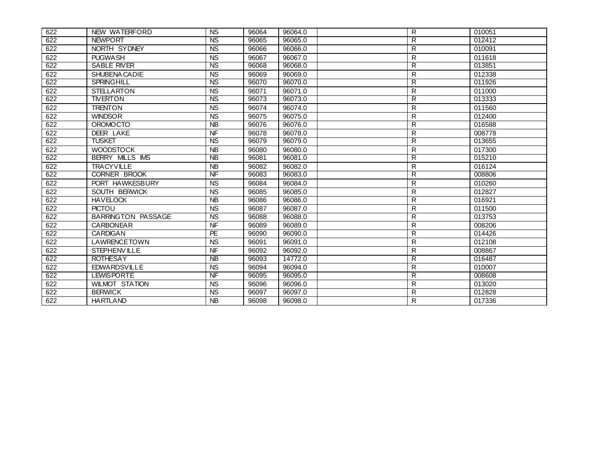| 622 | NEW WATERFORD             | <b>NS</b>                         | 96064 | 96064.0 | R                       | 010051 |
|-----|---------------------------|-----------------------------------|-------|---------|-------------------------|--------|
| 622 | <b>NEWPORT</b>            | <b>NS</b>                         | 96065 | 96065.0 | R                       | 012412 |
| 622 | NORTH SYDNEY              | <b>NS</b>                         | 96066 | 96066.0 | R                       | 010091 |
| 622 | <b>PUGWASH</b>            | $\overline{NS}$                   | 96067 | 96067.0 | $\mathsf{R}$            | 011618 |
| 622 | <b>SABLE RIVER</b>        | $\overline{MS}$                   | 96068 | 96068.0 | R                       | 013851 |
| 622 | SHUBENA CADIE             | <b>NS</b>                         | 96069 | 96069.0 | R                       | 012338 |
| 622 | <b>SPRINGHILL</b>         | $\overline{\text{NS}}$            | 96070 | 96070.0 | $\overline{R}$          | 011926 |
| 622 | <b>STELLARTON</b>         | $\overline{NS}$                   | 96071 | 96071.0 | R                       | 011000 |
| 622 | <b>TIVERTON</b>           | <b>NS</b>                         | 96073 | 96073.0 | R                       | 013333 |
| 622 | <b>TRENTON</b>            | <b>NS</b>                         | 96074 | 96074.0 | $\mathsf{R}$            | 011560 |
| 622 | <b>WINDSOR</b>            | <b>NS</b>                         | 96075 | 96075.0 | R                       | 012400 |
| 622 | <b>OROMOCTO</b>           | $\overline{AB}$                   | 96076 | 96076.0 | R                       | 016588 |
| 622 | <b>DEER LAKE</b>          | <b>NF</b>                         | 96078 | 96078.0 | R                       | 008778 |
| 622 | <b>TUSKET</b>             | $\overline{\text{NS}}$            | 96079 | 96079.0 | R                       | 013655 |
| 622 | <b>WOODSTOCK</b>          | <b>NB</b>                         | 96080 | 96080.0 | R                       | 017300 |
| 622 | <b>BERRY MILLS IMS</b>    | $\overline{AB}$                   | 96081 | 96081.0 | $\overline{R}$          | 015210 |
| 622 | <b>TRACYVILLE</b>         | <b>NB</b>                         | 96082 | 96082.0 | R                       | 016124 |
| 622 | <b>CORNER BROOK</b>       | $\overline{\mathsf{N}\mathsf{F}}$ | 96083 | 96083.0 | R                       | 008806 |
| 622 | PORT HAWKESBURY           | <b>NS</b>                         | 96084 | 96084.0 | R                       | 010260 |
| 622 | SOUTH BERWICK             | <b>NS</b>                         | 96085 | 96085.0 | $\mathsf{R}$            | 012827 |
| 622 | <b>HAVELOCK</b>           | $\overline{AB}$                   | 96086 | 96086.0 | R                       | 016921 |
| 622 | <b>PICTOU</b>             | <b>NS</b>                         | 96087 | 96087.0 | $\mathsf{R}$            | 011500 |
| 622 | <b>BARRINGTON PASSAGE</b> | <b>NS</b>                         | 96088 | 96088.0 | $\overline{\mathsf{R}}$ | 013753 |
| 622 | <b>CARBONEAR</b>          | N <sub>F</sub>                    | 96089 | 96089.0 | $\mathsf{R}$            | 008206 |
| 622 | <b>CARDIGAN</b>           | PE                                | 96090 | 96090.0 | R                       | 014426 |
| 622 | <b>LAWRENCETOWN</b>       | <b>NS</b>                         | 96091 | 96091.0 | R                       | 012108 |
| 622 | <b>STEPHENVILLE</b>       | <b>NF</b>                         | 96092 | 96092.0 | $\overline{R}$          | 008867 |
| 622 | <b>ROTHESAY</b>           | NB                                | 96093 | 14772.0 | $\overline{R}$          | 016487 |
| 622 | <b>EDWARDSVILLE</b>       | <b>NS</b>                         | 96094 | 96094.0 | R                       | 010007 |
| 622 | <b>LEWISPORTE</b>         | N <sub>F</sub>                    | 96095 | 96095.0 | R                       | 008608 |
| 622 | <b>WILMOT STATION</b>     | <b>NS</b>                         | 96096 | 96096.0 | $\mathsf{R}$            | 013020 |
| 622 | <b>BERWICK</b>            | $\overline{\text{NS}}$            | 96097 | 96097.0 | R                       | 012828 |
| 622 | <b>HARTLAND</b>           | <b>NB</b>                         | 96098 | 96098.0 | R                       | 017336 |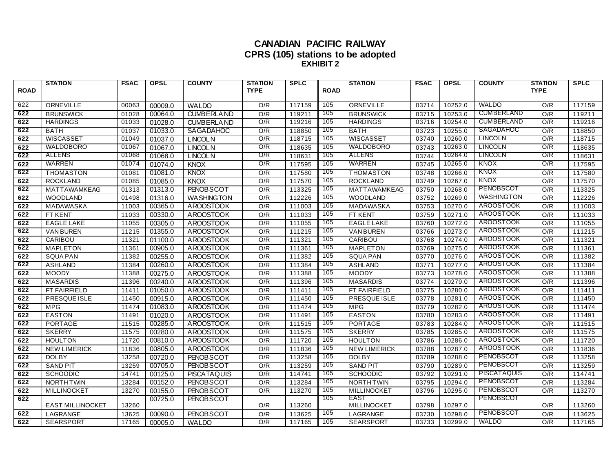#### **CANADIAN PACIFIC RAILWAY CPRS (105) stations to be adopted EXHIBIT 2**

|             | <b>STATION</b>          | <b>FSAC</b> | <b>OPSL</b> | <b>COUNTY</b>      | <b>STATION</b> | <b>SPLC</b> |             | <b>STATION</b>      | <b>FSAC</b> | <b>OPSL</b> | <b>COUNTY</b>      | <b>STATION</b> | <b>SPLC</b> |
|-------------|-------------------------|-------------|-------------|--------------------|----------------|-------------|-------------|---------------------|-------------|-------------|--------------------|----------------|-------------|
| <b>ROAD</b> |                         |             |             |                    | <b>TYPE</b>    |             | <b>ROAD</b> |                     |             |             |                    | <b>TYPE</b>    |             |
| 622         | ORNEVILLE               | 00063       | 00009.0     | <b>WALDO</b>       | O/R            | 117159      | 105         | ORNEVILLE           | 03714       | 10252.0     | <b>WALDO</b>       | O/R            | 117159      |
| 622         | <b>BRUNSWICK</b>        | 01028       | 00064.0     | <b>CUMBERLAND</b>  | O/R            | 119211      | 105         | <b>BRUNSWICK</b>    | 03715       | 10253.0     | <b>CUMBERLAND</b>  | O/R            | 119211      |
| 622         | <b>HARDINGS</b>         | 01033       | 01028.0     | <b>CUMBERLAND</b>  | O/R            | 119216      | 105         | <b>HARDINGS</b>     | 03716       | 10254.0     | <b>CUMBERLAND</b>  | O/R            | 119216      |
| 622         | <b>BATH</b>             | 01037       | 01033.0     | SAGADAHOC          | O/R            | 118850      | 105         | <b>BATH</b>         | 03723       | 10255.0     | SAGADAHOC          | O/R            | 118850      |
| 622         | WISCASSET               | 01049       | 01037.0     | <b>LINCOLN</b>     | O/R            | 118715      | 105         | <b>WISCASSET</b>    | 03740       | 10260.0     | <b>LINCOLN</b>     | O/R            | 118715      |
| 622         | WALDOBORO               | 01067       | 01067.0     | <b>LINCOLN</b>     | O/R            | 118635      | 105         | <b>WALDOBORO</b>    | 03743       | 10263.0     | <b>LINCOLN</b>     | O/R            | 118635      |
| 622         | ALLENS                  | 01068       | 01068.0     | <b>LINCOLN</b>     | O/R            | 118631      | 105         | ALLENS              | 03744       | 10264.0     | <b>LINCOLN</b>     | O/R            | 118631      |
| 622         | <b>WARREN</b>           | 01074       | 01074.0     | KNOX               | O/R            | 117595      | 105         | WARREN              | 03745       | 10265.0     | <b>KNOX</b>        | O/R            | 117595      |
| 622         | <b>THOMASTON</b>        | 01081       | 01081.0     | KNOX               | O/R            | 117580      | 105         | <b>THOMASTON</b>    | 03748       | 10266.0     | <b>KNOX</b>        | O/R            | 117580      |
| 622         | <b>ROCKLAND</b>         | 01085       | 01085.0     | <b>KNOX</b>        | O/R            | 117570      | 105         | <b>ROCKLAND</b>     | 03749       | 10267.0     | <b>KNOX</b>        | O/R            | 117570      |
| 622         | MATTAWAMKEAG            | 01313       | 01313.0     | <b>PENOBSCOT</b>   | O/R            | 113325      | 105         | MATTAWAMKEAG        | 03750       | 10268.0     | <b>PENOBSCOT</b>   | O/R            | 113325      |
| 622         | <b>WOODLAND</b>         | 01498       | 01316.0     | <b>WASHINGTON</b>  | O/R            | 112226      | 105         | <b>WOODLAND</b>     | 03752       | 10269.0     | <b>WASHINGTON</b>  | O/R            | 112226      |
| 622         | MADAWASKA               | 11003       | 00365.0     | <b>AROOSTOOK</b>   | O/R            | 111003      | 105         | MADAWASKA           | 03753       | 10270.0     | <b>AROOSTOOK</b>   | O/R            | 111003      |
| 622         | FT KENT                 | 11033       | 00330.0     | <b>AROOSTOOK</b>   | O/R            | 111033      | 105         | FT KENT             | 03759       | 10271.0     | <b>AROOSTOOK</b>   | O/R            | 111033      |
| 622         | <b>EAGLE LAKE</b>       | 11055       | 00305.0     | <b>AROOSTOOK</b>   | O/R            | 111055      | 105         | <b>EAGLE LAKE</b>   | 03760       | 10272.0     | AROOSTOOK          | O/R            | 111055      |
| 622         | <b>VAN BUREN</b>        | 11215       | 01355.0     | <b>AROOSTOOK</b>   | O/R            | 111215      | 105         | <b>VAN BUREN</b>    | 03766       | 10273.0     | AROOSTOOK          | O/R            | 111215      |
| 622         | CARIBOU                 | 11321       | 01100.0     | <b>AROOSTOOK</b>   | O/R            | 111321      | 105         | CARIBOU             | 03768       | 10274.0     | <b>AROOSTOOK</b>   | O/R            | 111321      |
| 622         | <b>MAPLETON</b>         | 11361       | 00905.0     | <b>AROOSTOOK</b>   | O/R            | 111361      | 105         | <b>MAPLETON</b>     | 03769       | 10275.0     | <b>AROOSTOOK</b>   | O/R            | 111361      |
| 622         | <b>SQUA PAN</b>         | 11382       | 00255.0     | <b>AROOSTOOK</b>   | O/R            | 111382      | 105         | <b>SQUA PAN</b>     | 03770       | 10276.0     | AROOSTOOK          | O/R            | 111382      |
| 622         | <b>ASHLAND</b>          | 11384       | 00260.0     | <b>AROOSTOOK</b>   | O/R            | 111384      | 105         | <b>ASHLAND</b>      | 03771       | 10277.0     | AROOSTOOK          | O/R            | 111384      |
| 622         | <b>MOODY</b>            | 11388       | 00275.0     | <b>AROOSTOOK</b>   | O/R            | 111388      | 105         | <b>MOODY</b>        | 03773       | 10278.0     | <b>AROOSTOOK</b>   | O/R            | 111388      |
| 622         | <b>MASARDIS</b>         | 11396       | 00240.0     | <b>AROOSTOOK</b>   | O/R            | 111396      | 105         | <b>MASARDIS</b>     | 03774       | 10279.0     | <b>AROOSTOOK</b>   | O/R            | 111396      |
| 622         | FT FAIRFIELD            | 11411       | 01050.0     | <b>AROOSTOOK</b>   | O/R            | 111411      | 105         | FT FAIRFIELD        | 03775       | 10280.0     | <b>AROOSTOOK</b>   | O/R            | 111411      |
| 622         | PRESQUE ISLE            | 11450       | 00915.0     | <b>AROOSTOOK</b>   | O/R            | 111450      | 105         | PRESQUE ISLE        | 03778       | 10281.0     | <b>AROOSTOOK</b>   | O/R            | 111450      |
| 622         | <b>MPG</b>              | 11474       | 01083.0     | <b>AROOSTOOK</b>   | O/R            | 111474      | 105         | <b>MPG</b>          | 03779       | 10282.0     | AROOSTOOK          | O/R            | 111474      |
| 622         | <b>EASTON</b>           | 11491       | 01020.0     | <b>AROOSTOOK</b>   | O/R            | 111491      | 105         | <b>EASTON</b>       | 03780       | 10283.0     | <b>AROOSTOOK</b>   | O/R            | 111491      |
| 622         | <b>PORTAGE</b>          | 11515       | 00285.0     | <b>AROOSTOOK</b>   | O/R            | 111515      | 105         | <b>PORTAGE</b>      | 03783       | 10284.0     | <b>AROOSTOOK</b>   | O/R            | 111515      |
| 622         | <b>SKERRY</b>           | 11575       | 00280.0     | <b>AROOSTOOK</b>   | O/R            | 111575      | 105         | <b>SKERRY</b>       | 03785       | 10285.0     | <b>AROOSTOOK</b>   | O/R            | 111575      |
| 622         | <b>HOULTON</b>          | 11720       | 00810.0     | <b>AROOSTOOK</b>   | O/R            | 111720      | 105         | <b>HOULTON</b>      | 03786       | 10286.0     | <b>AROOSTOOK</b>   | O/R            | 111720      |
| 622         | <b>NEW LIMERICK</b>     | 11836       | 00805.0     | <b>AROOSTOOK</b>   | O/R            | 111836      | 105         | <b>NEW LIMERICK</b> | 03788       | 10287.0     | <b>AROOSTOOK</b>   | O/R            | 111836      |
| 622         | <b>DOLBY</b>            | 13258       | 00720.0     | <b>PENOBSCOT</b>   | O/R            | 113258      | 105         | <b>DOLBY</b>        | 03789       | 10288.0     | PENOBSCOT          | O/R            | 113258      |
| 622         | <b>SAND PIT</b>         | 13259       | 00705.0     | <b>PENOBSCOT</b>   | O/R            | 113259      | 105         | <b>SAND PIT</b>     | 03790       | 10289.0     | <b>PENOBSCOT</b>   | O/R            | 113259      |
| 622         | <b>SCHOODIC</b>         | 14741       | 00125.0     | <b>PISCATAQUIS</b> | O/R            | 114741      | 105         | <b>SCHOODIC</b>     | 03792       | 10291.0     | <b>PISCATAQUIS</b> | O/R            | 114741      |
| 622         | <b>NORTH TWIN</b>       | 13284       | 00152.0     | <b>PENOBSCOT</b>   | O/R            | 113284      | 105         | NORTHTWIN           | 03795       | 10294.0     | <b>PENOBSCOT</b>   | O/R            | 113284      |
| 622         | <b>MILLINOCKET</b>      | 13270       | 00155.0     | <b>PENOBSCOT</b>   | O/R            | 113270      | 105         | MILLINOCKET         | 03796       | 10295.0     | PENOBSCOT          | O/R            | 113270      |
| 622         |                         |             | 00725.0     | <b>PENOBSCOT</b>   |                |             | 105         | EAST                |             |             | <b>PENOBSCOT</b>   |                |             |
|             | <b>EAST MILLINOCKET</b> | 13260       |             |                    | O/R            | 113260      |             | <b>MILLINOCKET</b>  | 03798       | 10297.0     |                    | O/R            | 113260      |
| 622         | LAGRANGE                | 13625       | 00090.0     | <b>PENOBSCOT</b>   | O/R            | 113625      | 105         | LAGRANGE            | 03730       | 10298.0     | PENOBSCOT          | O/R            | 113625      |
| 622         | <b>SEARSPORT</b>        | 17165       | 00005.0     | WALDO              | O/R            | 117165      | 105         | <b>SEARSPORT</b>    | 03733       | 10299.0     | <b>WALDO</b>       | O/R            | 117165      |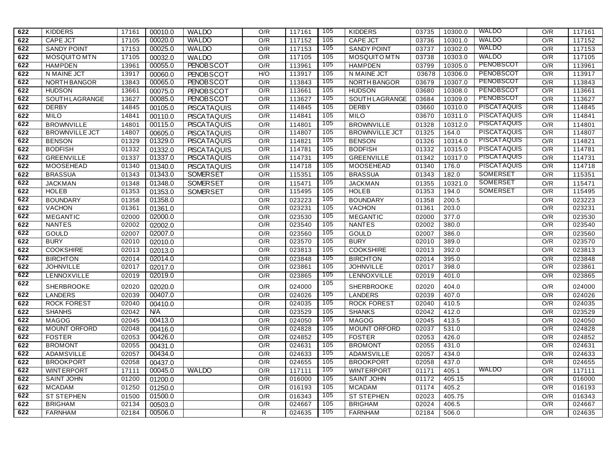| 622 | <b>KIDDERS</b>        | 17161 | 00010.0 | <b>WALDO</b>       | O/R              | 117161 | 105        | <b>KIDDERS</b>        | 03735 | 10300.0 | <b>WALDO</b>       | O/R              | 117161 |
|-----|-----------------------|-------|---------|--------------------|------------------|--------|------------|-----------------------|-------|---------|--------------------|------------------|--------|
| 622 | <b>CAPE JCT</b>       | 17105 | 00020.0 | <b>WALDO</b>       | O/R              | 117152 | 105        | <b>CAPE JCT</b>       | 03736 | 10301.0 | <b>WALDO</b>       | O/R              | 117152 |
| 622 | <b>SANDY POINT</b>    | 17153 | 00025.0 | <b>WALDO</b>       | O/R              | 117153 | 105        | <b>SANDY POINT</b>    | 03737 | 10302.0 | <b>WALDO</b>       | O/R              | 117153 |
| 622 | MOSQUITO MTN          | 17105 | 00032.0 | <b>WALDO</b>       | $\overline{O/R}$ | 117105 | 105        | MOSQUITO MTN          | 03738 | 10303.0 | <b>WALDO</b>       | O/R              | 117105 |
| 622 | <b>HAMPDEN</b>        | 13961 | 00055.0 | <b>PENOBSCOT</b>   | O/R              | 113961 | 105        | <b>HAMPDEN</b>        | 03799 | 10305.0 | <b>PENOBSCOT</b>   | O/R              | 113961 |
| 622 | N MAINE JCT           | 13917 | 00060.0 | <b>PENOBSCOT</b>   | H/O              | 113917 | 105        | N MAINE JCT           | 03678 | 10306.0 | PENOBSCOT          | O/R              | 113917 |
| 622 | <b>NORTH BANGOR</b>   | 13843 | 00065.0 | <b>PENOBSCOT</b>   | O/R              | 113843 | 105        | <b>NORTH BANGOR</b>   | 03679 | 10307.0 | PENOBSCOT          | O/R              | 113843 |
| 622 | <b>HUDSON</b>         | 13661 | 00075.0 | <b>PENOBSCOT</b>   | O/R              | 113661 | 105        | <b>HUDSON</b>         | 03680 | 10308.0 | PENOBSCOT          | O/R              | 113661 |
| 622 | SOUTH LAGRANGE        | 13627 | 00085.0 | <b>PENOBSCOT</b>   | O/R              | 113627 | 105        | SOUTH LAGRANGE        | 03684 | 10309.0 | <b>PENOBSCOT</b>   | O/R              | 113627 |
| 622 | <b>DERBY</b>          | 14845 | 00105.0 | <b>PISCATAQUIS</b> | O/R              | 114845 | 105        | <b>DERBY</b>          | 03660 | 10310.0 | <b>PISCATAQUIS</b> | O/R              | 114845 |
| 622 | <b>MILO</b>           | 14841 | 00110.0 | <b>PISCATAQUIS</b> | O/R              | 114841 | 105        | <b>MILO</b>           | 03670 | 10311.0 | <b>PISCATAQUIS</b> | O/R              | 114841 |
| 622 | <b>BROWNVILLE</b>     | 14801 | 00115.0 | <b>PISCATAQUIS</b> | O/R              | 114801 | 105        | <b>BROWNVILLE</b>     | 01328 | 10312.0 | <b>PISCATAQUIS</b> | O/R              | 114801 |
| 622 | <b>BROWNVILLE JCT</b> | 14807 | 00605.0 | <b>PISCATAQUIS</b> | O/R              | 114807 | 105        | <b>BROWNVILLE JCT</b> | 01325 | 164.0   | <b>PISCATAQUIS</b> | O/R              | 114807 |
| 622 | <b>BENSON</b>         | 01329 | 01329.0 | <b>PISCATAQUIS</b> | $\overline{O/R}$ | 114821 | 105        | <b>BENSON</b>         | 01326 | 10314.0 | <b>PISCATAQUIS</b> | O/R              | 114821 |
| 622 | <b>BODFISH</b>        | 01332 | 01332.0 | <b>PISCATAQUIS</b> | O/R              | 114781 | 105        | <b>BODFISH</b>        | 01332 | 10315.0 | <b>PISCATAQUIS</b> | O/R              | 114781 |
| 622 | <b>GREENVILLE</b>     | 01337 | 01337.0 | <b>PISCATAQUIS</b> | O/R              | 114731 | 105        | <b>GREENVILLE</b>     | 01342 | 10317.0 | <b>PISCATAQUIS</b> | O/R              | 114731 |
| 622 | MOOSEHEAD             | 01340 | 01340.0 | <b>PISCATAQUIS</b> | O/R              | 114718 | 105        | MOOSEHEAD             | 01340 | 176.0   | <b>PISCATAQUIS</b> | O/R              | 114718 |
| 622 | <b>BRASSUA</b>        | 01343 | 01343.0 | <b>SOMERSET</b>    | O/R              | 115351 | 105        | <b>BRASSUA</b>        | 01343 | 182.0   | <b>SOMERSET</b>    | O/R              | 115351 |
| 622 | <b>JACKMAN</b>        | 01348 | 01348.0 | <b>SOMERSET</b>    | O/R              | 115471 | 105        | <b>JACKMAN</b>        | 01355 | 10321.0 | <b>SOMERSET</b>    | O/R              | 115471 |
| 622 | <b>HOLEB</b>          | 01353 | 01353.0 | <b>SOMERSET</b>    | O/R              | 115495 | 105        | <b>HOLEB</b>          | 01353 | 194.0   | <b>SOMERSET</b>    | O/R              | 115495 |
| 622 | <b>BOUNDARY</b>       | 01358 | 01358.0 |                    | O/R              | 023223 | <b>105</b> | <b>BOUNDARY</b>       | 01358 | 200.5   |                    | O/R              | 023223 |
| 622 | <b>VACHON</b>         | 01361 | 01361.0 |                    | O/R              | 023231 | 105        | <b>VACHON</b>         | 01361 | 203.0   |                    | O/R              | 023231 |
| 622 | <b>MEGANTIC</b>       | 02000 | 02000.0 |                    | O/R              | 023530 | 105        | <b>MEGANTIC</b>       | 02000 | 377.0   |                    | O/R              | 023530 |
| 622 | <b>NANTES</b>         | 02002 | 02002.0 |                    | O/R              | 023540 | 105        | <b>NANTES</b>         | 02002 | 380.0   |                    | O/R              | 023540 |
| 622 | <b>GOULD</b>          | 02007 | 02007.0 |                    | O/R              | 023560 | 105        | <b>GOULD</b>          | 02007 | 386.0   |                    | O/R              | 023560 |
| 622 | <b>BURY</b>           | 02010 | 02010.0 |                    | O/R              | 023570 | 105        | <b>BURY</b>           | 02010 | 389.0   |                    | $\overline{O/R}$ | 023570 |
| 622 | <b>COOKSHIRE</b>      | 02013 | 02013.0 |                    | O/R              | 023813 | 105        | <b>COOKSHIRE</b>      | 02013 | 392.0   |                    | O/R              | 023813 |
| 622 | <b>BIRCHTON</b>       | 02014 | 02014.0 |                    | O/R              | 023848 | 105        | <b>BIRCHTON</b>       | 02014 | 395.0   |                    | O/R              | 023848 |
| 622 | <b>JOHNVILLE</b>      | 02017 | 02017.0 |                    | O/R              | 023861 | 105        | <b>JOHNVILLE</b>      | 02017 | 398.0   |                    | O/R              | 023861 |
| 622 | LENNOXVILLE           | 02019 | 02019.0 |                    | O/R              | 023865 | 105        | LENNOXVILLE           | 02019 | 401.0   |                    | O/R              | 023865 |
| 622 | SHERBROOKE            | 02020 | 02020.0 |                    | O/R              | 024000 | 105        | <b>SHERBROOKE</b>     | 02020 | 404.0   |                    | O/R              | 024000 |
| 622 | <b>LANDERS</b>        | 02039 | 00407.0 |                    | O/R              | 024026 | <b>105</b> | <b>LANDERS</b>        | 02039 | 407.0   |                    | O/R              | 024026 |
| 622 | <b>ROCK FOREST</b>    | 02040 | 00410.0 |                    | O/R              | 024035 | 105        | <b>ROCK FOREST</b>    | 02040 | 410.5   |                    | O/R              | 024035 |
| 622 | <b>SHANHS</b>         | 02042 | N/A     |                    | O/R              | 023529 | 105        | <b>SHANKS</b>         | 02042 | 412.0   |                    | $\overline{O/R}$ | 023529 |
| 622 | <b>MAGOG</b>          | 02045 | 00413.0 |                    | O/R              | 024050 | 105        | <b>MAGOG</b>          | 02045 | 413.5   |                    | O/R              | 024050 |
| 622 | <b>MOUNT ORFORD</b>   | 02048 | 00416.0 |                    | $\overline{O/R}$ | 024828 | 105        | <b>MOUNT ORFORD</b>   | 02037 | 531.0   |                    | O/R              | 024828 |
| 622 | <b>FOSTER</b>         | 02053 | 00426.0 |                    | O/R              | 024852 | <b>105</b> | <b>FOSTER</b>         | 02053 | 426.0   |                    | O/R              | 024852 |
| 622 | <b>BROMONT</b>        | 02055 | 00431.0 |                    | O/R              | 024631 | 105        | <b>BROMONT</b>        | 02055 | 431.0   |                    | O/R              | 024631 |
| 622 | <b>ADAMSVILLE</b>     | 02057 | 00434.0 |                    | O/R              | 024633 | 105        | <b>ADAMSVILLE</b>     | 02057 | 434.0   |                    | O/R              | 024633 |
| 622 | <b>BROOKPORT</b>      | 02058 | 00437.0 |                    | O/R              | 024655 | 105        | <b>BROOKPORT</b>      | 02058 | 437.0   |                    | O/R              | 024655 |
| 622 | <b>WINTERPORT</b>     | 17111 | 00045.0 | <b>WALDO</b>       | O/R              | 117111 | 105        | <b>WINTERPORT</b>     | 01171 | 405.1   | <b>WALDO</b>       | O/R              | 117111 |
| 622 | <b>SAINT JOHN</b>     | 01200 | 01200.0 |                    | O/R              | 016000 | 105        | <b>SAINT JOHN</b>     | 01172 | 405.15  |                    | O/R              | 016000 |
| 622 | <b>MCADAM</b>         | 01250 | 01250.0 |                    | O/R              | 016193 | 105        | <b>MCADAM</b>         | 01174 | 405.2   |                    | O/R              | 016193 |
| 622 | <b>ST STEPHEN</b>     | 01500 | 01500.0 |                    | O/R              | 016343 | 105        | <b>ST STEPHEN</b>     | 02023 | 405.75  |                    | O/R              | 016343 |
| 622 | <b>BRIGHAM</b>        | 02134 | 00503.0 |                    | O/R              | 024667 | 105        | <b>BRIGHAM</b>        | 02024 | 406.5   |                    | O/R              | 024667 |
| 622 | <b>FARNHAM</b>        | 02184 | 00506.0 |                    | R.               | 024635 | 105        | <b>FARNHAM</b>        | 02184 | 506.0   |                    | O/R              | 024635 |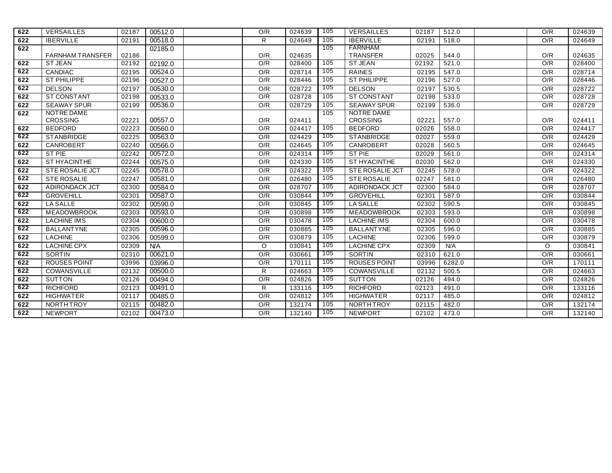| 622 | <b>VERSAILLES</b>       | 02187 | 00512.0    | O/R     | 024639 | 105        | VERSAILLES             | 02187 | 512.0  | O/R     | 024639 |
|-----|-------------------------|-------|------------|---------|--------|------------|------------------------|-------|--------|---------|--------|
| 622 | <b>IBERVILLE</b>        | 02191 | 00518.0    | R       | 024649 | 105        | <b>IBERVILLE</b>       | 02191 | 518.0  | O/R     | 024649 |
| 622 |                         |       | 02185.0    |         |        | 105        | FARNHAM                |       |        |         |        |
|     | <b>FARNHAM TRANSFER</b> | 02186 |            | O/R     | 024635 |            | <b>TRANSFER</b>        | 02025 | 544.0  | O/R     | 024635 |
| 622 | <b>ST JEAN</b>          | 02192 | 02192.0    | O/R     | 028400 | 105        | <b>ST JEAN</b>         | 02192 | 521.0  | O/R     | 028400 |
| 622 | <b>CANDIAC</b>          | 02195 | 00524.0    | O/R     | 028714 | 105        | <b>RAINES</b>          | 02195 | 547.0  | O/R     | 028714 |
| 622 | <b>ST PHILIPPE</b>      | 02196 | 00527.0    | O/R     | 028446 | 105        | <b>ST PHILIPPE</b>     | 02196 | 527.0  | O/R     | 028446 |
| 622 | <b>DELSON</b>           | 02197 | 00530.0    | O/R     | 028722 | 105        | <b>DELSON</b>          | 02197 | 530.5  | O/R     | 028722 |
| 622 | <b>ST CONSTANT</b>      | 02198 | 00533.0    | O/R     | 028728 | 105        | <b>ST CONSTANT</b>     | 02198 | 533.0  | O/R     | 028728 |
| 622 | <b>SEAWAY SPUR</b>      | 02199 | 00536.0    | O/R     | 028729 | 105        | <b>SEAWAY SPUR</b>     | 02199 | 536.0  | O/R     | 028729 |
| 622 | NOTRE DAME              |       |            |         |        | 105        | NOTRE DAME             |       |        |         |        |
|     | <b>CROSSING</b>         | 02221 | 00557.0    | O/R     | 024411 |            | <b>CROSSING</b>        | 02221 | 557.0  | O/R     | 024411 |
| 622 | <b>BEDFORD</b>          | 02223 | 00560.0    | O/R     | 024417 | 105<br>105 | <b>BEDFORD</b>         | 02026 | 558.0  | O/R     | 024417 |
| 622 | STANBRIDGE              | 02225 | 00563.0    | O/R     | 024429 |            | <b>STANBRIDGE</b>      | 02027 | 559.0  | O/R     | 024429 |
| 622 | CANROBERT               | 02240 | 00566.0    | O/R     | 024645 | 105        | <b>CANROBERT</b>       | 02028 | 560.5  | O/R     | 024645 |
| 622 | ST PIE                  | 02242 | 00572.0    | O/R     | 024314 | 105        | ST PIE                 | 02029 | 561.0  | O/R     | 024314 |
| 622 | ST HYACINTHE            | 02244 | 00575.0    | O/R     | 024330 | 105        | ST HYACINTHE           | 02030 | 562.0  | O/R     | 024330 |
| 622 | <b>STE ROSALIE JCT</b>  | 02245 | 00578.0    | O/R     | 024322 | 105        | <b>STE ROSALIE JCT</b> | 02245 | 578.0  | O/R     | 024322 |
| 622 | <b>STE ROSALIE</b>      | 02247 | 00581.0    | O/R     | 026480 | 105        | <b>STE ROSALIE</b>     | 02247 | 581.0  | O/R     | 026480 |
| 622 | ADIRONDACK JCT          | 02300 | 00584.0    | O/R     | 028707 | 105        | ADIRONDACK JCT         | 02300 | 584.0  | O/R     | 028707 |
| 622 | <b>GROVEHILL</b>        | 02301 | 00587.0    | O/R     | 030844 | 105        | <b>GROVEHILL</b>       | 02301 | 587.0  | O/R     | 030844 |
| 622 | LA SALLE                | 02302 | 00590.0    | O/R     | 030845 | 105        | LA SALLE               | 02302 | 590.5  | O/R     | 030845 |
| 622 | <b>MEADOWBROOK</b>      | 02303 | 00593.0    | O/R     | 030898 | 105        | <b>MEADOWBROOK</b>     | 02303 | 593.0  | O/R     | 030898 |
| 622 | <b>LACHINE IMS</b>      | 02304 | 00600.0    | O/R     | 030478 | 105        | <b>LACHINE IMS</b>     | 02304 | 600.0  | O/R     | 030478 |
| 622 | <b>BALLANTYNE</b>       | 02305 | 00596.0    | O/R     | 030885 | 105        | <b>BALLANTYNE</b>      | 02305 | 596.0  | O/R     | 030885 |
| 622 | <b>LACHINE</b>          | 02306 | 00599.0    | O/R     | 030879 | 105        | <b>LACHINE</b>         | 02306 | 599.0  | O/R     | 030879 |
| 622 | <b>LACHINE CPX</b>      | 02309 | <b>N/A</b> | $\circ$ | 030841 | 105        | <b>LACHINE CPX</b>     | 02309 | N/A    | $\circ$ | 030841 |
| 622 | SORTIN                  | 02310 | 00621.0    | O/R     | 030661 | <b>105</b> | <b>SORTIN</b>          | 02310 | 621.0  | O/R     | 030661 |
| 622 | <b>ROUSES POINT</b>     | 03996 | 03996.0    | O/R     | 170111 | 105        | <b>ROUSES POINT</b>    | 03996 | 6282.0 | O/R     | 170111 |
| 622 | COWANSVILLE             | 02132 | 00500.0    | R       | 024663 | 105        | COWANSVILLE            | 02132 | 500.5  | O/R     | 024663 |
| 622 | <b>SUTTON</b>           | 02126 | 00494.0    | O/R     | 024826 | 105        | <b>SUTTON</b>          | 02126 | 494.0  | O/R     | 024826 |
| 622 | <b>RICHFORD</b>         | 02123 | 00491.0    | R       | 133116 | 105        | <b>RICHFORD</b>        | 02123 | 491.0  | O/R     | 133116 |
| 622 | <b>HIGHWATER</b>        | 02117 | 00485.0    | O/R     | 024812 | 105        | <b>HIGHWATER</b>       | 02117 | 485.0  | O/R     | 024812 |
| 622 | NORTHTROY               | 02115 | 00482.0    | O/R     | 132174 | 105        | NORTHTROY              | 02115 | 482.0  | O/R     | 132174 |
| 622 | <b>NEWPORT</b>          | 02102 | 00473.0    | O/R     | 132140 | 105        | <b>NEWPORT</b>         | 02102 | 473.0  | O/R     | 132140 |